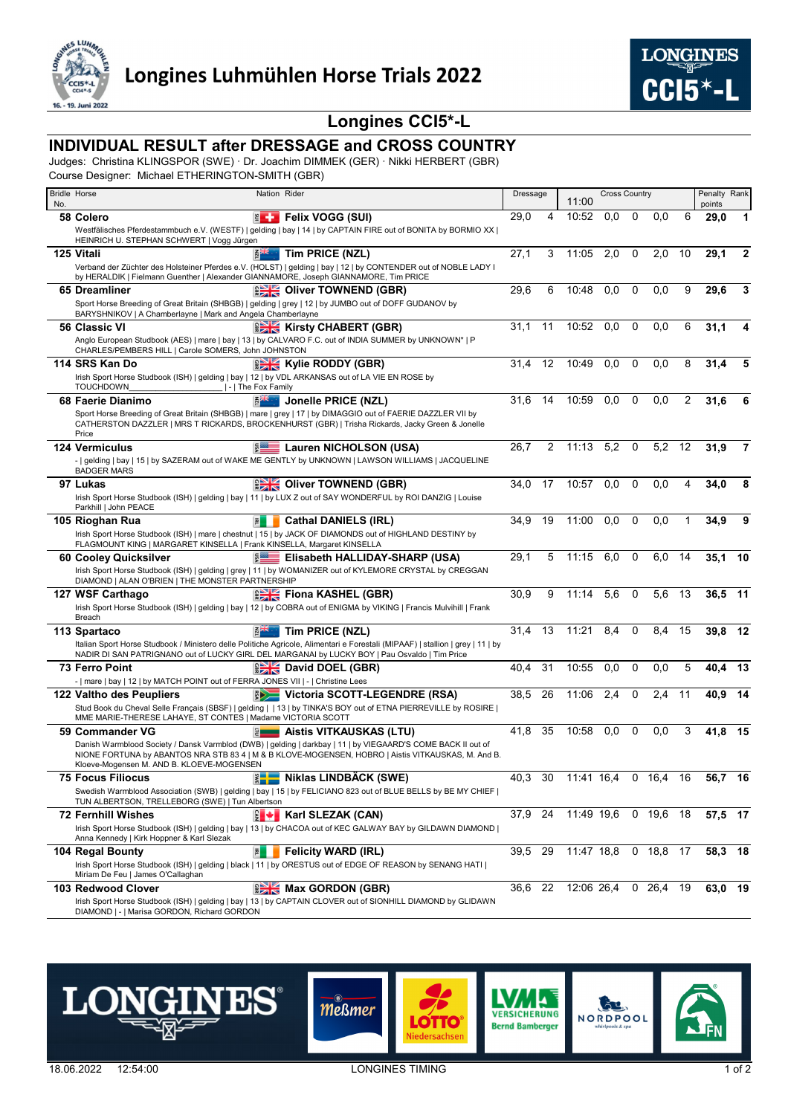

## **Longines CCI5\*-L**

## **INDIVIDUAL RESULT after DRESSAGE and CROSS COUNTRY**

Judges: Christina KLINGSPOR (SWE) · Dr. Joachim DIMMEK (GER) · Nikki HERBERT (GBR)

Course Designer: Michael ETHERINGTON-SMITH (GBR)

|     | <b>Bridle Horse</b><br>Nation Rider                                                                                                                                                                                                                             | Dressage |    | <b>Cross Country</b><br>11:00 |     |   |                   |    | Penalty Rank   |       |  |  |
|-----|-----------------------------------------------------------------------------------------------------------------------------------------------------------------------------------------------------------------------------------------------------------------|----------|----|-------------------------------|-----|---|-------------------|----|----------------|-------|--|--|
| No. | E Felix VOGG (SUI)<br>58 Colero                                                                                                                                                                                                                                 | 29,0     | 4  | 10:52                         | 0,0 | 0 | 0.0               | 6  | points<br>29,0 | 1     |  |  |
|     | Westfälisches Pferdestammbuch e.V. (WESTF)   gelding   bay   14   by CAPTAIN FIRE out of BONITA by BORMIO XX                                                                                                                                                    |          |    |                               |     |   |                   |    |                |       |  |  |
|     | HEINRICH U. STEPHAN SCHWERT   Vogg Jürgen                                                                                                                                                                                                                       |          |    |                               |     |   |                   |    |                |       |  |  |
|     | Tim PRICE (NZL)<br>125 Vitali                                                                                                                                                                                                                                   | 27,1     | 3  | 11:05                         | 2,0 | 0 | 2,0               | 10 | 29,1           | 2     |  |  |
|     | Verband der Züchter des Holsteiner Pferdes e.V. (HOLST)   gelding   bay   12   by CONTENDER out of NOBLE LADY I<br>by HERALDIK   Fielmann Guenther   Alexander GIANNAMORE, Joseph GIANNAMORE, Tim PRICE                                                         |          |    |                               |     |   |                   |    |                |       |  |  |
|     | <b>DE Oliver TOWNEND (GBR)</b><br>65 Dreamliner                                                                                                                                                                                                                 | 29,6     | 6  | 10:48                         | 0,0 | 0 | 0,0               | 9  | 29,6           | 3     |  |  |
|     | Sport Horse Breeding of Great Britain (SHBGB)   gelding   grey   12   by JUMBO out of DOFF GUDANOV by<br>BARYSHNIKOV   A Chamberlayne   Mark and Angela Chamberlayne                                                                                            |          |    |                               |     |   |                   |    |                |       |  |  |
|     | Kirsty CHABERT (GBR)<br>56 Classic VI                                                                                                                                                                                                                           | 31.1     | 11 | 10:52                         | 0,0 | 0 | 0.0               | 6  | 31,1           | 4     |  |  |
|     | Anglo European Studbook (AES)   mare   bay   13   by CALVARO F.C. out of INDIA SUMMER by UNKNOWN*   P<br>CHARLES/PEMBERS HILL   Carole SOMERS, John JOHNSTON                                                                                                    |          |    |                               |     |   |                   |    |                |       |  |  |
|     | <b>REAK</b> Kylie RODDY (GBR)<br>114 SRS Kan Do                                                                                                                                                                                                                 | 31,4     | 12 | 10:49                         | 0,0 | 0 | 0,0               | 8  | 31,4           | 5     |  |  |
|     | Irish Sport Horse Studbook (ISH)   gelding   bay   12   by VDL ARKANSAS out of LA VIE EN ROSE by<br><b>TOUCHDOWN</b><br>  -   The Fox Family                                                                                                                    |          |    |                               |     |   |                   |    |                |       |  |  |
|     | 68 Faerie Dianimo<br>Jonelle PRICE (NZL)                                                                                                                                                                                                                        | 31.6     | 14 | 10:59                         | 0,0 | 0 | 0.0               | 2  | 31,6           | 6     |  |  |
|     | Sport Horse Breeding of Great Britain (SHBGB)   mare   grey   17   by DIMAGGIO out of FAERIE DAZZLER VII by<br>CATHERSTON DAZZLER   MRS T RICKARDS, BROCKENHURST (GBR)   Trisha Rickards, Jacky Green & Jonelle<br>Price                                        |          |    |                               |     |   |                   |    |                |       |  |  |
|     | $\frac{5}{2}$<br><b>E Lauren NICHOLSON (USA)</b><br><b>124 Vermiculus</b>                                                                                                                                                                                       | 26,7     | 2  | 11:13                         | 5,2 | 0 | 5,2               | 12 | 31,9           | 7     |  |  |
|     | -   gelding   bay   15   by SAZERAM out of WAKE ME GENTLY by UNKNOWN   LAWSON WILLIAMS   JACQUELINE<br><b>BADGER MARS</b>                                                                                                                                       |          |    |                               |     |   |                   |    |                |       |  |  |
|     | <b>DE Oliver TOWNEND (GBR)</b><br>97 Lukas                                                                                                                                                                                                                      | 34.0     | 17 | 10:57                         | 0,0 | 0 | 0,0               | 4  | 34,0           | 8     |  |  |
|     | Irish Sport Horse Studbook (ISH)   gelding   bay   11   by LUX Z out of SAY WONDERFUL by ROI DANZIG   Louise<br>Parkhill   John PEACE                                                                                                                           |          |    |                               |     |   |                   |    |                |       |  |  |
|     | 国<br><b>Cathal DANIELS (IRL)</b><br>105 Rioghan Rua                                                                                                                                                                                                             | 34,9     | 19 | 11:00                         | 0,0 | 0 | 0,0               |    | 34,9           | 9     |  |  |
|     | Irish Sport Horse Studbook (ISH)   mare   chestnut   15   by JACK OF DIAMONDS out of HIGHLAND DESTINY by<br>FLAGMOUNT KING   MARGARET KINSELLA   Frank KINSELLA, Margaret KINSELLA                                                                              |          |    |                               |     |   |                   |    |                |       |  |  |
|     | 60 Cooley Quicksilver<br>$5 =$<br>Elisabeth HALLIDAY-SHARP (USA)                                                                                                                                                                                                | 29,1     | 5  | 11:15                         | 6,0 | 0 | 6.0               | 14 | 35,1           | 10    |  |  |
|     | Irish Sport Horse Studbook (ISH)   gelding   grey   11   by WOMANIZER out of KYLEMORE CRYSTAL by CREGGAN<br>DIAMOND   ALAN O'BRIEN   THE MONSTER PARTNERSHIP                                                                                                    |          |    |                               |     |   |                   |    |                |       |  |  |
|     | <b>Fiona KASHEL (GBR)</b><br>127 WSF Carthago                                                                                                                                                                                                                   | 30,9     | 9  | 11:14                         | 5,6 | 0 | 5,6               | 13 | 36,5           | $-11$ |  |  |
|     | Irish Sport Horse Studbook (ISH)   gelding   bay   12   by COBRA out of ENIGMA by VIKING   Francis Mulvihill   Frank<br>Breach                                                                                                                                  |          |    |                               |     |   |                   |    |                |       |  |  |
|     | Tim PRICE (NZL)<br><b>REPAIR</b><br>113 Spartaco                                                                                                                                                                                                                | 31.4     | 13 | 11:21                         | 8,4 | 0 | 8,4               | 15 | 39,8           | -12   |  |  |
|     | Italian Sport Horse Studbook / Ministero delle Politiche Agricole, Alimentari e Forestali (MIPAAF)   stallion   grey   11   by<br>NADIR DI SAN PATRIGNANO out of LUCKY GIRL DEL MARGANAI by LUCKY BOY   Pau Osvaldo   Tim Price                                 |          |    |                               |     |   |                   |    |                |       |  |  |
|     | <b>73 Ferro Point</b><br><b>David DOEL (GBR)</b>                                                                                                                                                                                                                | 40,4     | 31 | 10:55                         | 0,0 | 0 | 0,0               | 5  | 40.4           | 13    |  |  |
|     | -   mare   bay   12   by MATCH POINT out of FERRA JONES VII   -   Christine Lees                                                                                                                                                                                |          |    |                               |     |   |                   |    |                |       |  |  |
|     | <b>WE Victoria SCOTT-LEGENDRE (RSA)</b><br>122 Valtho des Peupliers<br>Stud Book du Cheval Selle Français (SBSF)   gelding     13   by TINKA'S BOY out of ETNA PIERREVILLE by ROSIRE                                                                            | 38,5     | 26 | 11:06                         | 2,4 | 0 | 2,4               | 11 | 40,9           | 14    |  |  |
|     | MME MARIE-THERESE LAHAYE, ST CONTES   Madame VICTORIA SCOTT                                                                                                                                                                                                     |          |    |                               |     |   |                   |    |                |       |  |  |
|     | 59 Commander VG<br><b>E</b> Aistis VITKAUSKAS (LTU)                                                                                                                                                                                                             | 41,8     | 35 | 10:58                         | 0,0 | 0 | 0,0               | 3  | 41,8           | -15   |  |  |
|     | Danish Warmblood Society / Dansk Varmblod (DWB)   gelding   darkbay   11   by VIEGAARD'S COME BACK II out of<br>NIONE FORTUNA by ABANTOS NRA STB 83 4   M & B KLOVE-MOGENSEN, HOBRO   Aistis VITKAUSKAS, M. And B.<br>Kloeve-Mogensen M. AND B. KLOEVE-MOGENSEN |          |    |                               |     |   |                   |    |                |       |  |  |
|     | $\frac{1}{2}$<br><b>75 Focus Filiocus</b><br>Niklas LINDBÄCK (SWE)                                                                                                                                                                                              | 40,3     | 30 | 11:41 16.4                    |     |   | 0 16,4            | 16 | 56,7           | 16    |  |  |
|     | Swedish Warmblood Association (SWB)   gelding   bay   15   by FELICIANO 823 out of BLUE BELLS by BE MY CHIEF  <br>TUN ALBERTSON, TRELLEBORG (SWE)   Tun Albertson                                                                                               |          |    |                               |     |   |                   |    |                |       |  |  |
|     | Karl SLEZAK (CAN)<br><b>72 Fernhill Wishes</b><br>8 M                                                                                                                                                                                                           | 37,9 24  |    | 11:49 19.6                    |     |   | $0$ 19,6 18       |    | 57,5 17        |       |  |  |
|     | Irish Sport Horse Studbook (ISH)   gelding   bay   13   by CHACOA out of KEC GALWAY BAY by GILDAWN DIAMOND  <br>Anna Kennedy   Kirk Hoppner & Karl Slezak                                                                                                       |          |    |                               |     |   |                   |    |                |       |  |  |
|     | <b>Felicity WARD (IRL)</b><br>凮<br>104 Regal Bounty                                                                                                                                                                                                             | 39,5     | 29 | 11:47 18,8                    |     |   | 0, 18, 8          | 17 | 58,3 18        |       |  |  |
|     | Irish Sport Horse Studbook (ISH)   gelding   black   11   by ORESTUS out of EDGE OF REASON by SENANG HATI  <br>Miriam De Feu   James O'Callaghan                                                                                                                |          |    |                               |     |   |                   |    |                |       |  |  |
|     | <b>REAK</b> Max GORDON (GBR)<br>103 Redwood Clover                                                                                                                                                                                                              | 36,6     | 22 |                               |     |   | 12:06 26,4 0 26,4 | 19 | 63,0 19        |       |  |  |
|     | Irish Sport Horse Studbook (ISH)   gelding   bay   13   by CAPTAIN CLOVER out of SIONHILL DIAMOND by GLIDAWN<br>DIAMOND   -   Marisa GORDON, Richard GORDON                                                                                                     |          |    |                               |     |   |                   |    |                |       |  |  |